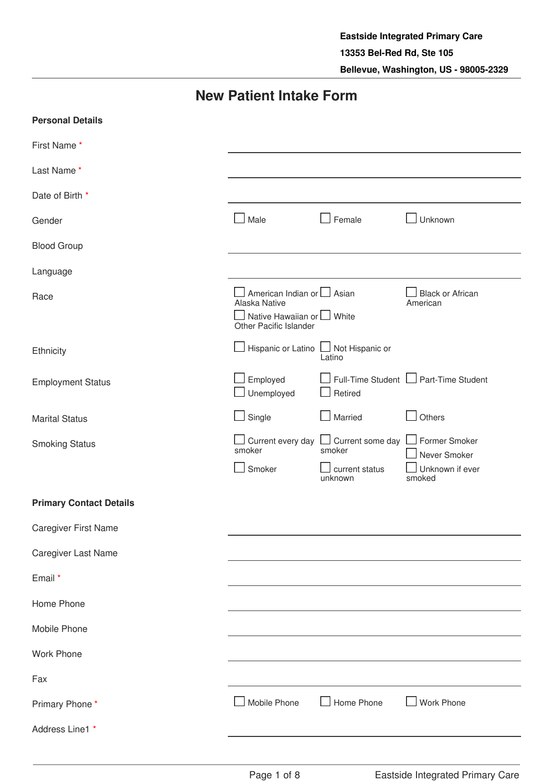# **New Patient Intake Form**

| <b>Personal Details</b>        |                                                                                                     |                                                                                                |                                                            |
|--------------------------------|-----------------------------------------------------------------------------------------------------|------------------------------------------------------------------------------------------------|------------------------------------------------------------|
| First Name*                    |                                                                                                     |                                                                                                |                                                            |
| Last Name*                     |                                                                                                     |                                                                                                |                                                            |
| Date of Birth *                |                                                                                                     |                                                                                                |                                                            |
| Gender                         | $\Box$ Male                                                                                         | Female                                                                                         | Unknown                                                    |
| <b>Blood Group</b>             |                                                                                                     |                                                                                                |                                                            |
| Language                       |                                                                                                     |                                                                                                |                                                            |
| Race                           | American Indian or   Asian<br>Alaska Native<br>Native Hawaiian or U White<br>Other Pacific Islander |                                                                                                | <b>Black or African</b><br>American                        |
| Ethnicity                      | Hispanic or Latino                                                                                  | Not Hispanic or<br>Latino                                                                      |                                                            |
| <b>Employment Status</b>       | Employed<br>Unemployed                                                                              | Retired                                                                                        | Full-Time Student   Part-Time Student                      |
| <b>Marital Status</b>          | Single                                                                                              | Married                                                                                        | Others                                                     |
| <b>Smoking Status</b>          | smoker<br>Smoker                                                                                    | $\Box$ Current every day $\Box$ Current some day $\Box$<br>smoker<br>current status<br>unknown | Former Smoker<br>Never Smoker<br>Unknown if ever<br>smoked |
| <b>Primary Contact Details</b> |                                                                                                     |                                                                                                |                                                            |
| Caregiver First Name           |                                                                                                     |                                                                                                |                                                            |
| Caregiver Last Name            |                                                                                                     |                                                                                                |                                                            |
| Email *                        |                                                                                                     |                                                                                                |                                                            |
| Home Phone                     |                                                                                                     |                                                                                                |                                                            |
| Mobile Phone                   |                                                                                                     |                                                                                                |                                                            |
| Work Phone                     |                                                                                                     |                                                                                                |                                                            |
| Fax                            |                                                                                                     |                                                                                                |                                                            |
| Primary Phone*                 | Mobile Phone                                                                                        | Home Phone                                                                                     | Work Phone                                                 |
| Address Line1 *                |                                                                                                     |                                                                                                |                                                            |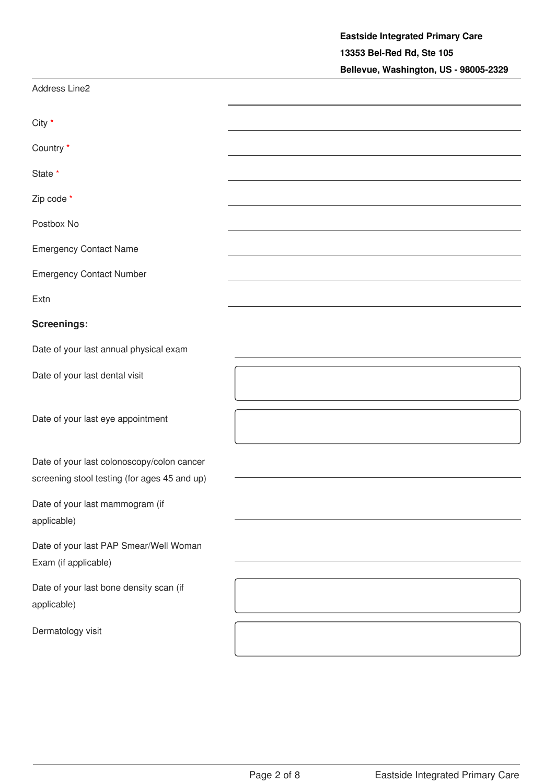|                                                                                            | Bellevue, Washington, US - 98005-2329 |
|--------------------------------------------------------------------------------------------|---------------------------------------|
| Address Line2                                                                              |                                       |
| City *                                                                                     |                                       |
| Country *                                                                                  |                                       |
| State *                                                                                    |                                       |
| Zip code *                                                                                 |                                       |
| Postbox No                                                                                 |                                       |
| <b>Emergency Contact Name</b>                                                              |                                       |
| <b>Emergency Contact Number</b>                                                            |                                       |
| Extn                                                                                       |                                       |
| <b>Screenings:</b>                                                                         |                                       |
| Date of your last annual physical exam                                                     |                                       |
| Date of your last dental visit                                                             |                                       |
| Date of your last eye appointment                                                          |                                       |
| Date of your last colonoscopy/colon cancer<br>screening stool testing (for ages 45 and up) |                                       |
| Date of your last mammogram (if<br>applicable)                                             |                                       |
| Date of your last PAP Smear/Well Woman<br>Exam (if applicable)                             |                                       |
| Date of your last bone density scan (if<br>applicable)                                     |                                       |
| Dermatology visit                                                                          |                                       |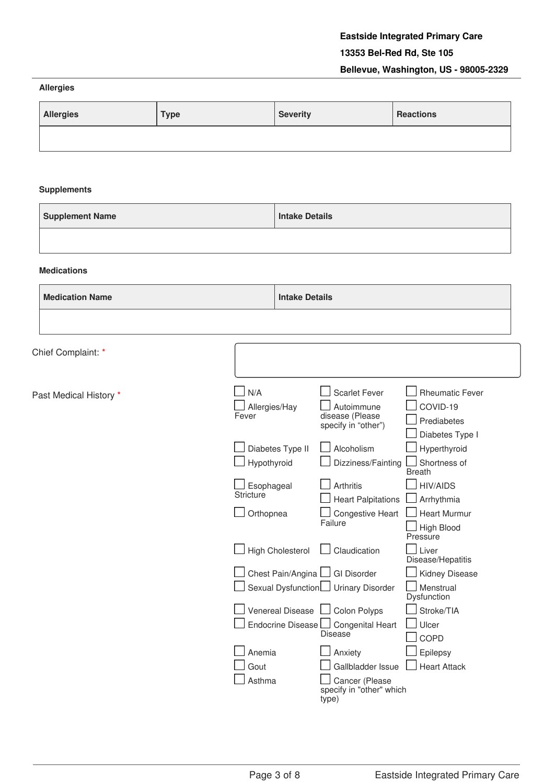#### **Allergies**

| <b>Allergies</b> | <b>Type</b> | <b>Severity</b> | <b>Reactions</b> |
|------------------|-------------|-----------------|------------------|
|                  |             |                 |                  |

#### **Supplements**

| <b>Supplement Name</b> | Intake Details |
|------------------------|----------------|
|                        |                |

#### **Medications**

| <b>Medication Name</b> | <b>Intake Details</b>                   |                                                                              |                                                                      |
|------------------------|-----------------------------------------|------------------------------------------------------------------------------|----------------------------------------------------------------------|
|                        |                                         |                                                                              |                                                                      |
| Chief Complaint: *     |                                         |                                                                              |                                                                      |
| Past Medical History * | N/A<br>Allergies/Hay<br>Fever           | <b>Scarlet Fever</b><br>Autoimmune<br>disease (Please<br>specify in "other") | <b>Rheumatic Fever</b><br>COVID-19<br>Prediabetes<br>Diabetes Type I |
|                        | Diabetes Type II<br>Hypothyroid         | Alcoholism<br>Dizziness/Fainting                                             | Hyperthyroid<br>Shortness of<br><b>Breath</b>                        |
|                        | Esophageal<br><b>Stricture</b>          | <b>Arthritis</b><br><b>Heart Palpitations</b>                                | <b>HIV/AIDS</b><br>Arrhythmia                                        |
|                        | Orthopnea                               | <b>Congestive Heart</b><br>Failure                                           | <b>Heart Murmur</b><br>High Blood<br>Pressure                        |
|                        | <b>High Cholesterol</b>                 | Claudication                                                                 | Liver<br>Disease/Hepatitis                                           |
|                        | Chest Pain/Angina<br>Sexual Dysfunction | <b>GI Disorder</b><br><b>Urinary Disorder</b>                                | Kidney Disease<br>Menstrual<br>Dysfunction                           |
|                        | Venereal Disease<br>Endocrine Disease L | Colon Polyps<br><b>Congenital Heart</b>                                      | Stroke/TIA<br>Ulcer                                                  |
|                        |                                         | Disease                                                                      | COPD                                                                 |
|                        | Anemia<br>Gout                          | Anxiety<br>Gallbladder Issue                                                 | Epilepsy<br><b>Heart Attack</b>                                      |
|                        | Asthma                                  | Cancer (Please<br>specify in "other" which<br>type)                          |                                                                      |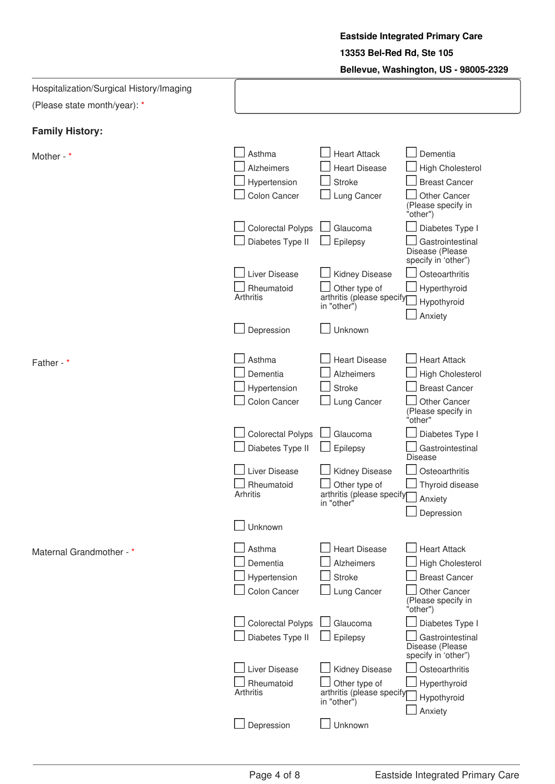**Eastside Integrated Primary Care 13353 Bel-Red Rd, Ste 105 Bellevue, Washington, US - 98005-2329**

| Hospitalization/Surgical History/Imaging |                          |                                          |                                                            |
|------------------------------------------|--------------------------|------------------------------------------|------------------------------------------------------------|
| (Please state month/year): *             |                          |                                          |                                                            |
| <b>Family History:</b>                   |                          |                                          |                                                            |
|                                          |                          |                                          |                                                            |
| Mother - *                               | Asthma                   | <b>Heart Attack</b>                      | Dementia                                                   |
|                                          | <b>Alzheimers</b>        | <b>Heart Disease</b>                     | <b>High Cholesterol</b>                                    |
|                                          | Hypertension             | <b>Stroke</b>                            | <b>Breast Cancer</b>                                       |
|                                          | Colon Cancer             | Lung Cancer                              | <b>Other Cancer</b><br>(Please specify in<br>"other")      |
|                                          | <b>Colorectal Polyps</b> | Glaucoma                                 | Diabetes Type I                                            |
|                                          | Diabetes Type II         | Epilepsy                                 | Gastrointestinal<br>Disease (Please<br>specify in 'other") |
|                                          | Liver Disease            | Kidney Disease                           | Osteoarthritis                                             |
|                                          | Rheumatoid               | Other type of                            | Hyperthyroid                                               |
|                                          | Arthritis                | arthritis (please specify<br>in "other") | Hypothyroid                                                |
|                                          |                          |                                          | Anxiety                                                    |
|                                          | Depression               | Unknown                                  |                                                            |
| Father - *                               | Asthma                   | <b>Heart Disease</b>                     | <b>Heart Attack</b>                                        |
|                                          | Dementia                 | <b>Alzheimers</b>                        | <b>High Cholesterol</b>                                    |
|                                          | Hypertension             | <b>Stroke</b>                            | <b>Breast Cancer</b>                                       |
|                                          | Colon Cancer             | Lung Cancer                              | Other Cancer                                               |
|                                          |                          |                                          | (Please specify in<br>"other"                              |
|                                          | <b>Colorectal Polyps</b> | Glaucoma                                 | Diabetes Type I                                            |
|                                          | Diabetes Type II         | Epilepsy                                 | Gastrointestinal<br><b>Disease</b>                         |
|                                          | Liver Disease            | Kidney Disease                           | Osteoarthritis                                             |
|                                          | Rheumatoid               | Other type of                            | Thyroid disease                                            |
|                                          | Arhritis                 | arthritis (please specify<br>in "other"  | Anxiety                                                    |
|                                          |                          |                                          | Depression                                                 |
|                                          | Unknown                  |                                          |                                                            |
| Maternal Grandmother - *                 | Asthma                   | <b>Heart Disease</b>                     | <b>Heart Attack</b>                                        |
|                                          | Dementia                 | Alzheimers                               | <b>High Cholesterol</b>                                    |
|                                          | Hypertension             | <b>Stroke</b>                            | <b>Breast Cancer</b>                                       |
|                                          | Colon Cancer             | Lung Cancer                              | Other Cancer<br>(Please specify in<br>"other")             |
|                                          | <b>Colorectal Polyps</b> | Glaucoma                                 | Diabetes Type I                                            |
|                                          | Diabetes Type II         | Epilepsy                                 | Gastrointestinal<br>Disease (Please<br>specify in 'other") |
|                                          | Liver Disease            | Kidney Disease                           | Osteoarthritis                                             |
|                                          | Rheumatoid               | Other type of                            | Hyperthyroid                                               |
|                                          | Arthritis                | arthritis (please specify<br>in "other") | Hypothyroid                                                |
|                                          |                          |                                          | Anxiety                                                    |
|                                          | Depression               | Unknown                                  |                                                            |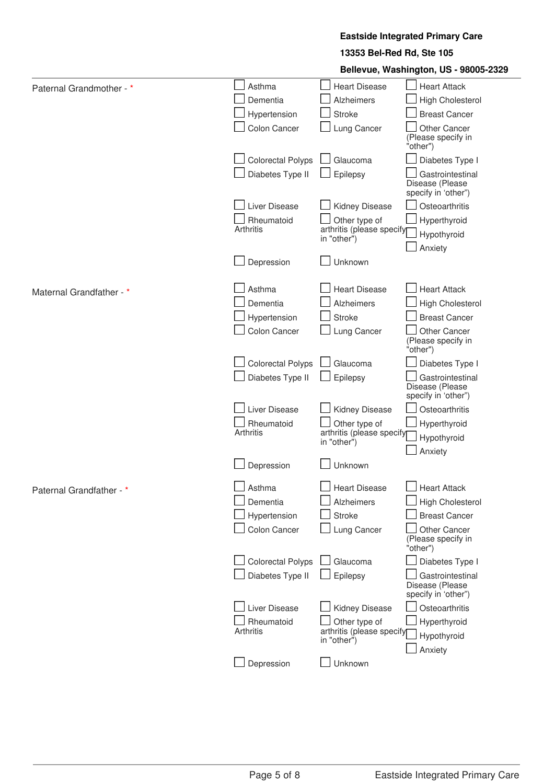#### **Eastside Integrated Primary Care**

#### **13353 Bel-Red Rd, Ste 105**

**Bellevue, Washington, US - 98005-2329**

| Paternal Grandmother - * | Asthma                   | <b>Heart Disease</b>                     | <b>Heart Attack</b>                                        |
|--------------------------|--------------------------|------------------------------------------|------------------------------------------------------------|
|                          | Dementia                 | <b>Alzheimers</b>                        | High Cholesterol                                           |
|                          | Hypertension             | <b>Stroke</b>                            | <b>Breast Cancer</b>                                       |
|                          | Colon Cancer             | Lung Cancer                              | <b>Other Cancer</b><br>(Please specify in<br>"other")      |
|                          | <b>Colorectal Polyps</b> | Glaucoma                                 | Diabetes Type I                                            |
|                          | Diabetes Type II         | Epilepsy                                 | Gastrointestinal<br>Disease (Please<br>specify in 'other") |
|                          | Liver Disease            | Kidney Disease                           | Osteoarthritis                                             |
|                          | Rheumatoid               | Other type of                            | Hyperthyroid                                               |
|                          | Arthritis                | arthritis (please specify<br>in "other") | Hypothyroid                                                |
|                          |                          |                                          | Anxiety                                                    |
|                          | Depression               | Unknown                                  |                                                            |
| Maternal Grandfather - * | Asthma                   | <b>Heart Disease</b>                     | <b>Heart Attack</b>                                        |
|                          | Dementia                 | <b>Alzheimers</b>                        | <b>High Cholesterol</b>                                    |
|                          | Hypertension             | <b>Stroke</b>                            | <b>Breast Cancer</b>                                       |
|                          | Colon Cancer             | Lung Cancer                              | Other Cancer<br>(Please specify in<br>"other")             |
|                          | <b>Colorectal Polyps</b> | Glaucoma                                 | Diabetes Type I                                            |
|                          | Diabetes Type II         | Epilepsy                                 | Gastrointestinal<br>Disease (Please<br>specify in 'other") |
|                          | Liver Disease            | Kidney Disease                           | Osteoarthritis                                             |
|                          | Rheumatoid               | Other type of                            | Hyperthyroid                                               |
|                          | Arthritis                | arthritis (please specify<br>in "other") | Hypothyroid                                                |
|                          |                          |                                          | Anxiety                                                    |
|                          | Depression               | Unknown                                  |                                                            |
| Paternal Grandfather - * | Asthma                   | <b>Heart Disease</b>                     | <b>Heart Attack</b>                                        |
|                          | Dementia                 | <b>Alzheimers</b>                        | <b>High Cholesterol</b>                                    |
|                          | Hypertension             | <b>Stroke</b>                            | <b>Breast Cancer</b>                                       |
|                          | Colon Cancer             | Lung Cancer                              | Other Cancer<br>(Please specify in<br>"other")             |
|                          | <b>Colorectal Polyps</b> | Glaucoma                                 | Diabetes Type I                                            |
|                          | Diabetes Type II         | Epilepsy                                 | Gastrointestinal<br>Disease (Please<br>specify in 'other") |
|                          | Liver Disease            | Kidney Disease                           | Osteoarthritis                                             |
|                          | Rheumatoid               | Other type of                            | Hyperthyroid                                               |
|                          | Arthritis                | arthritis (please specify<br>in "other") | Hypothyroid                                                |
|                          |                          |                                          | Anxiety                                                    |
|                          | Depression               | Unknown                                  |                                                            |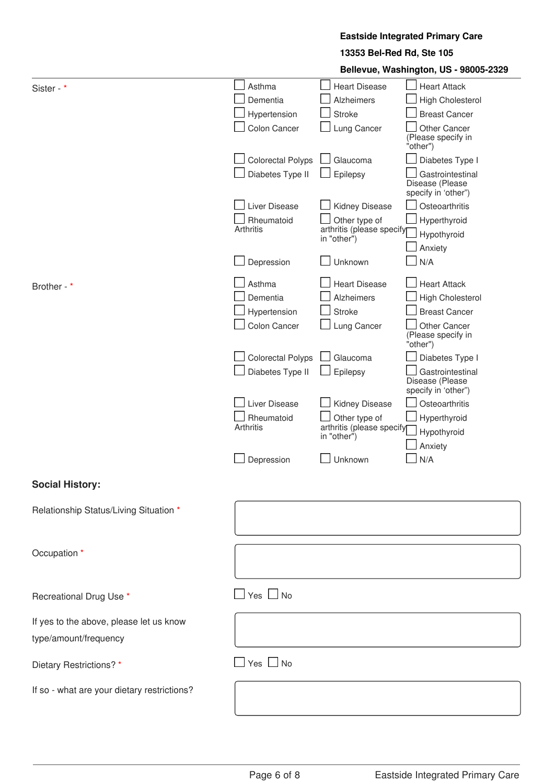#### **Eastside Integrated Primary Care**

#### **13353 Bel-Red Rd, Ste 105**

**Bellevue, Washington, US - 98005-2329**

|                                             |                          |                                          | Dellevue, washington, 00 - 30000-2023                      |
|---------------------------------------------|--------------------------|------------------------------------------|------------------------------------------------------------|
| Sister - *                                  | Asthma                   | <b>Heart Disease</b>                     | <b>Heart Attack</b>                                        |
|                                             | Dementia                 | <b>Alzheimers</b>                        | <b>High Cholesterol</b>                                    |
|                                             | Hypertension             | <b>Stroke</b>                            | <b>Breast Cancer</b>                                       |
|                                             | Colon Cancer             | Lung Cancer                              | Other Cancer<br>(Please specify in<br>"other")             |
|                                             | <b>Colorectal Polyps</b> | Glaucoma                                 | Diabetes Type I                                            |
|                                             | Diabetes Type II         | Epilepsy                                 | Gastrointestinal<br>Disease (Please<br>specify in 'other") |
|                                             | Liver Disease            | Kidney Disease                           | Osteoarthritis                                             |
|                                             | Rheumatoid               | Other type of                            | Hyperthyroid                                               |
|                                             | Arthritis                | arthritis (please specify<br>in "other") | Hypothyroid                                                |
|                                             |                          |                                          | Anxiety                                                    |
|                                             | Depression               | Unknown                                  | N/A                                                        |
| Brother - *                                 | Asthma                   | <b>Heart Disease</b>                     | <b>Heart Attack</b>                                        |
|                                             | Dementia                 | Alzheimers                               | <b>High Cholesterol</b>                                    |
|                                             | Hypertension             | <b>Stroke</b>                            | <b>Breast Cancer</b>                                       |
|                                             | Colon Cancer             | Lung Cancer                              | Other Cancer<br>(Please specify in<br>"other")             |
|                                             | <b>Colorectal Polyps</b> | Glaucoma                                 | Diabetes Type I                                            |
|                                             | Diabetes Type II         | Epilepsy                                 | Gastrointestinal<br>Disease (Please<br>specify in 'other") |
|                                             | Liver Disease            | Kidney Disease                           | Osteoarthritis                                             |
|                                             | Rheumatoid               | Other type of                            | Hyperthyroid                                               |
|                                             | Arthritis                | arthritis (please specify<br>in "other") | Hypothyroid                                                |
|                                             |                          |                                          | Anxiety                                                    |
|                                             | Depression               | Unknown                                  | N/A                                                        |
| <b>Social History:</b>                      |                          |                                          |                                                            |
| Relationship Status/Living Situation *      |                          |                                          |                                                            |
|                                             |                          |                                          |                                                            |
| Occupation *                                |                          |                                          |                                                            |
|                                             |                          |                                          |                                                            |
| Recreational Drug Use *                     | $\Box$ Yes $\Box$ No     |                                          |                                                            |
| If yes to the above, please let us know     |                          |                                          |                                                            |
| type/amount/frequency                       |                          |                                          |                                                            |
|                                             |                          |                                          |                                                            |
| Dietary Restrictions?*                      | $\Box$ Yes $\Box$ No     |                                          |                                                            |
| If so - what are your dietary restrictions? |                          |                                          |                                                            |
|                                             |                          |                                          |                                                            |
|                                             |                          |                                          |                                                            |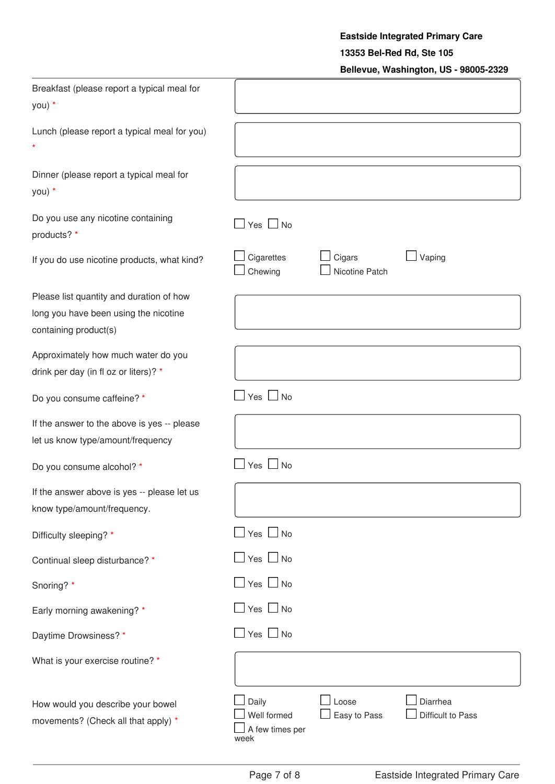# **Eastside Integrated Primary Care**

#### **13353 Bel-Red Rd, Ste 105**

### **Bellevue, Washington, US - 98005-2329**

| Breakfast (please report a typical meal for<br>you) *                                                      |                                                 |                          |                               |
|------------------------------------------------------------------------------------------------------------|-------------------------------------------------|--------------------------|-------------------------------|
| Lunch (please report a typical meal for you)                                                               |                                                 |                          |                               |
| Dinner (please report a typical meal for<br>you) *                                                         |                                                 |                          |                               |
| Do you use any nicotine containing<br>products? *                                                          | $Yes \tN$                                       |                          |                               |
| If you do use nicotine products, what kind?                                                                | Cigarettes<br>Chewing                           | Cigars<br>Nicotine Patch | Vaping                        |
| Please list quantity and duration of how<br>long you have been using the nicotine<br>containing product(s) |                                                 |                          |                               |
| Approximately how much water do you<br>drink per day (in fl oz or liters)? *                               |                                                 |                          |                               |
| Do you consume caffeine? *                                                                                 | $Yes \Box No$                                   |                          |                               |
| If the answer to the above is yes -- please<br>let us know type/amount/frequency                           |                                                 |                          |                               |
| Do you consume alcohol? *                                                                                  | $Yes \Box No$                                   |                          |                               |
| If the answer above is yes -- please let us<br>know type/amount/frequency.                                 |                                                 |                          |                               |
| Difficulty sleeping? *                                                                                     | $Yes \tN$                                       |                          |                               |
| Continual sleep disturbance? *                                                                             | Yes $\Box$ No                                   |                          |                               |
| Snoring? *                                                                                                 | $Yes \tN$                                       |                          |                               |
| Early morning awakening? *                                                                                 | $Yes \Box No$                                   |                          |                               |
| Daytime Drowsiness?*                                                                                       | $Yes \Box No$                                   |                          |                               |
| What is your exercise routine? *                                                                           |                                                 |                          |                               |
| How would you describe your bowel<br>movements? (Check all that apply) *                                   | Daily<br>Well formed<br>A few times per<br>week | Loose<br>Easy to Pass    | Diarrhea<br>Difficult to Pass |